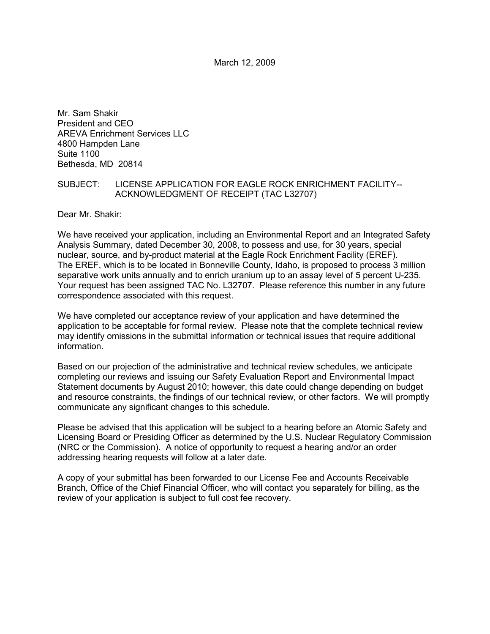March 12, 2009

Mr. Sam Shakir President and CEO AREVA Enrichment Services LLC 4800 Hampden Lane Suite 1100 Bethesda, MD 20814

## SUBJECT: LICENSE APPLICATION FOR EAGLE ROCK ENRICHMENT FACILITY-- ACKNOWLEDGMENT OF RECEIPT (TAC L32707)

Dear Mr. Shakir:

We have received your application, including an Environmental Report and an Integrated Safety Analysis Summary, dated December 30, 2008, to possess and use, for 30 years, special nuclear, source, and by-product material at the Eagle Rock Enrichment Facility (EREF). The EREF, which is to be located in Bonneville County, Idaho, is proposed to process 3 million separative work units annually and to enrich uranium up to an assay level of 5 percent U-235. Your request has been assigned TAC No. L32707. Please reference this number in any future correspondence associated with this request.

We have completed our acceptance review of your application and have determined the application to be acceptable for formal review. Please note that the complete technical review may identify omissions in the submittal information or technical issues that require additional information.

Based on our projection of the administrative and technical review schedules, we anticipate completing our reviews and issuing our Safety Evaluation Report and Environmental Impact Statement documents by August 2010; however, this date could change depending on budget and resource constraints, the findings of our technical review, or other factors. We will promptly communicate any significant changes to this schedule.

Please be advised that this application will be subject to a hearing before an Atomic Safety and Licensing Board or Presiding Officer as determined by the U.S. Nuclear Regulatory Commission (NRC or the Commission). A notice of opportunity to request a hearing and/or an order addressing hearing requests will follow at a later date.

A copy of your submittal has been forwarded to our License Fee and Accounts Receivable Branch, Office of the Chief Financial Officer, who will contact you separately for billing, as the review of your application is subject to full cost fee recovery.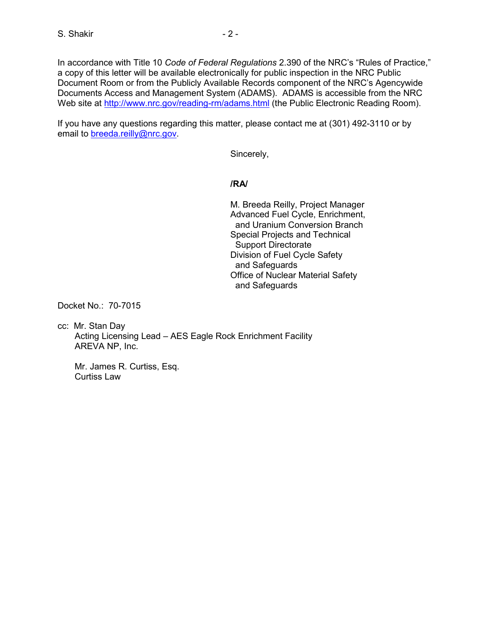In accordance with Title 10 *Code of Federal Regulations* 2.390 of the NRC's "Rules of Practice," a copy of this letter will be available electronically for public inspection in the NRC Public Document Room or from the Publicly Available Records component of the NRC's Agencywide Documents Access and Management System (ADAMS). ADAMS is accessible from the NRC Web site at http://www.nrc.gov/reading-rm/adams.html (the Public Electronic Reading Room).

If you have any questions regarding this matter, please contact me at (301) 492-3110 or by email to breeda.reilly@nrc.gov.

Sincerely,

## **/RA/**

 M. Breeda Reilly, Project Manager Advanced Fuel Cycle, Enrichment, and Uranium Conversion Branch Special Projects and Technical Support Directorate Division of Fuel Cycle Safety and Safeguards Office of Nuclear Material Safety and Safeguards

Docket No.: 70-7015

cc: Mr. Stan Day Acting Licensing Lead – AES Eagle Rock Enrichment Facility AREVA NP, Inc.

 Mr. James R. Curtiss, Esq. Curtiss Law